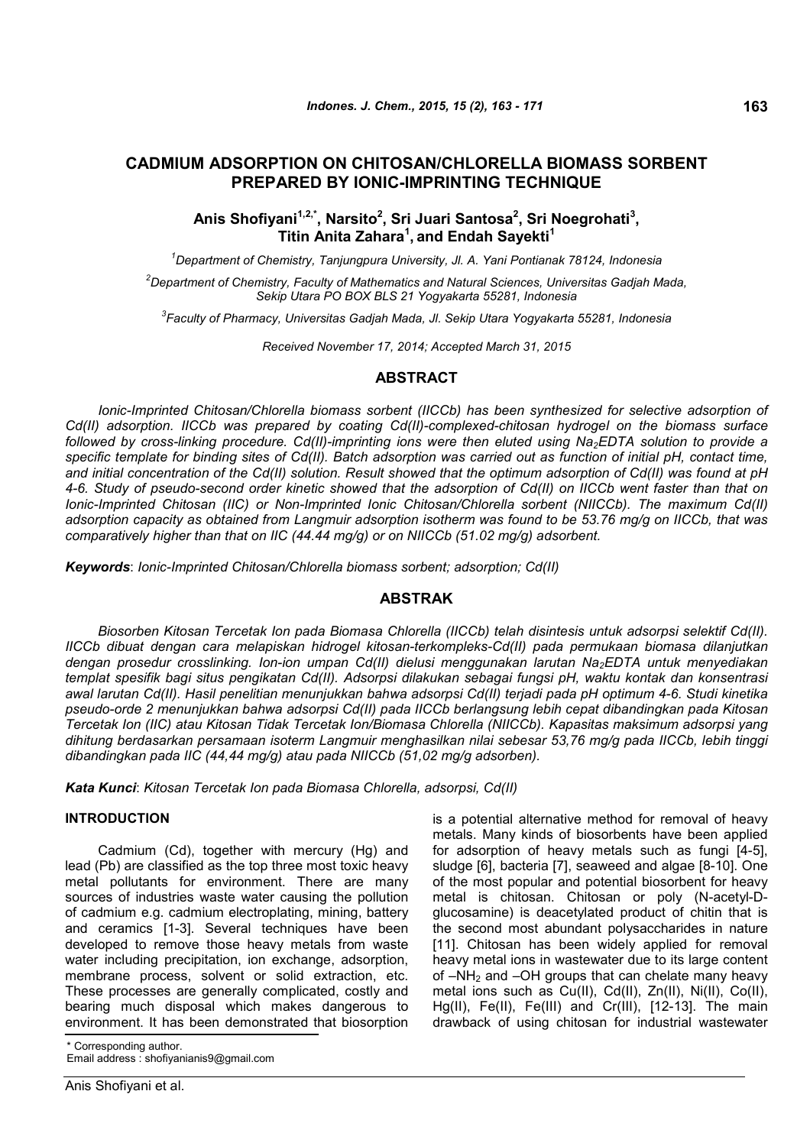# **CADMIUM ADSORPTION ON CHITOSAN/CHLORELLA BIOMASS SORBENT PREPARED BY IONIC-IMPRINTING TECHNIQUE**

# **Anis Shofiyani1,2,\*, Narsito<sup>2</sup> , Sri Juari Santosa<sup>2</sup> , Sri Noegrohati<sup>3</sup> , Titin Anita Zahara<sup>1</sup> , and Endah Sayekti<sup>1</sup>**

*<sup>1</sup>Department of Chemistry, Tanjungpura University, Jl. A. Yani Pontianak 78124, Indonesia*

*<sup>2</sup>Department of Chemistry, Faculty of Mathematics and Natural Sciences, Universitas Gadjah Mada, Sekip Utara PO BOX BLS 21 Yogyakarta 55281, Indonesia*

*3 Faculty of Pharmacy, Universitas Gadjah Mada, Jl. Sekip Utara Yogyakarta 55281, Indonesia*

*Received November 17, 2014; Accepted March 31, 2015*

## **ABSTRACT**

*Ionic-Imprinted Chitosan/Chlorella biomass sorbent (IICCb) has been synthesized for selective adsorption of Cd(II) adsorption. IICCb was prepared by coating Cd(II)-complexed-chitosan hydrogel on the biomass surface followed by cross-linking procedure. Cd(II)-imprinting ions were then eluted using Na2EDTA solution to provide a specific template for binding sites of Cd(II). Batch adsorption was carried out as function of initial pH, contact time, and initial concentration of the Cd(II) solution. Result showed that the optimum adsorption of Cd(II) was found at pH 4-6. Study of pseudo-second order kinetic showed that the adsorption of Cd(II) on IICCb went faster than that on Ionic-Imprinted Chitosan (IIC) or Non-Imprinted Ionic Chitosan/Chlorella sorbent (NIICCb). The maximum Cd(II) adsorption capacity as obtained from Langmuir adsorption isotherm was found to be 53.76 mg/g on IICCb, that was comparatively higher than that on IIC (44.44 mg/g) or on NIICCb (51.02 mg/g) adsorbent.*

*Keywords*: *Ionic-Imprinted Chitosan/Chlorella biomass sorbent; adsorption; Cd(II)*

# **ABSTRAK**

*Biosorben Kitosan Tercetak Ion pada Biomasa Chlorella (IICCb) telah disintesis untuk adsorpsi selektif Cd(II). IICCb dibuat dengan cara melapiskan hidrogel kitosan-terkompleks-Cd(II) pada permukaan biomasa dilanjutkan dengan prosedur crosslinking. Ion-ion umpan Cd(II) dielusi menggunakan larutan Na2EDTA untuk menyediakan templat spesifik bagi situs pengikatan Cd(II). Adsorpsi dilakukan sebagai fungsi pH, waktu kontak dan konsentrasi awal larutan Cd(II). Hasil penelitian menunjukkan bahwa adsorpsi Cd(II) terjadi pada pH optimum 4-6. Studi kinetika pseudo-orde 2 menunjukkan bahwa adsorpsi Cd(II) pada IICCb berlangsung lebih cepat dibandingkan pada Kitosan Tercetak Ion (IIC) atau Kitosan Tidak Tercetak Ion/Biomasa Chlorella (NIICCb). Kapasitas maksimum adsorpsi yang dihitung berdasarkan persamaan isoterm Langmuir menghasilkan nilai sebesar 53,76 mg/g pada IICCb, lebih tinggi dibandingkan pada IIC (44,44 mg/g) atau pada NIICCb (51,02 mg/g adsorben).*

*Kata Kunci*: *Kitosan Tercetak Ion pada Biomasa Chlorella, adsorpsi, Cd(II)*

### **INTRODUCTION**

Cadmium (Cd), together with mercury (Hg) and lead (Pb) are classified as the top three most toxic heavy metal pollutants for environment. There are many sources of industries waste water causing the pollution of cadmium e.g. cadmium electroplating, mining, battery and ceramics [1-3]. Several techniques have been developed to remove those heavy metals from waste water including precipitation, ion exchange, adsorption, membrane process, solvent or solid extraction, etc. These processes are generally complicated, costly and bearing much disposal which makes dangerous to environment. It has been demonstrated that biosorption

\* Corresponding author.

Email address : shofiyanianis9@gmail.com

is a potential alternative method for removal of heavy metals. Many kinds of biosorbents have been applied for adsorption of heavy metals such as fungi [4-5], sludge [6], bacteria [7], seaweed and algae [8-10]. One of the most popular and potential biosorbent for heavy metal is chitosan. Chitosan or poly (N-acetyl-Dglucosamine) is deacetylated product of chitin that is the second most abundant polysaccharides in nature [11]. Chitosan has been widely applied for removal heavy metal ions in wastewater due to its large content of  $-NH<sub>2</sub>$  and  $-OH$  groups that can chelate many heavy metal ions such as Cu(II), Cd(II), Zn(II), Ni(II), Co(II), Hg(II), Fe(II), Fe(III) and Cr(III), [12-13]. The main drawback of using chitosan for industrial wastewater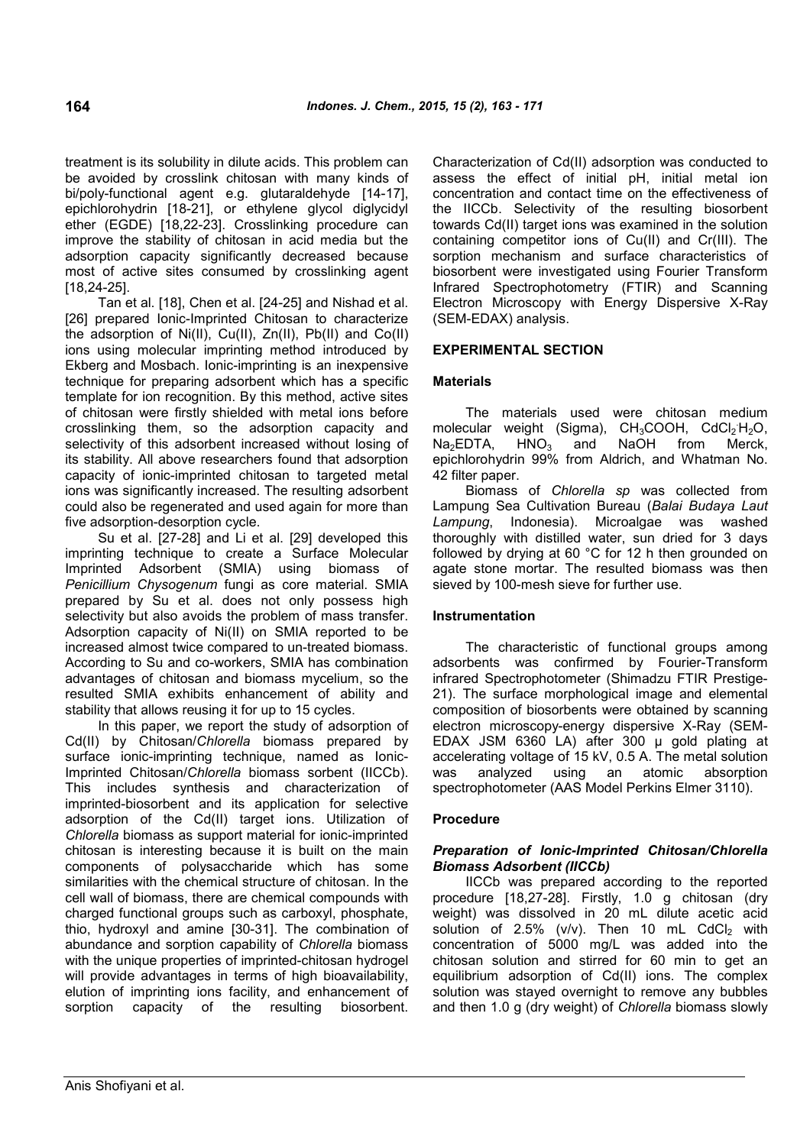treatment is its solubility in dilute acids. This problem can be avoided by crosslink chitosan with many kinds of bi/poly-functional agent e.g. glutaraldehyde [14-17], epichlorohydrin [18-21], or ethylene glycol diglycidyl ether (EGDE) [18,22-23]. Crosslinking procedure can improve the stability of chitosan in acid media but the adsorption capacity significantly decreased because most of active sites consumed by crosslinking agent [18,24-25].

Tan et al. [18], Chen et al. [24-25] and Nishad et al. [26] prepared Ionic-Imprinted Chitosan to characterize the adsorption of Ni(II), Cu(II), Zn(II), Pb(II) and Co(II) ions using molecular imprinting method introduced by Ekberg and Mosbach. Ionic-imprinting is an inexpensive technique for preparing adsorbent which has a specific template for ion recognition. By this method, active sites of chitosan were firstly shielded with metal ions before crosslinking them, so the adsorption capacity and selectivity of this adsorbent increased without losing of Na<sub>2</sub>EDTA, its stability. All above researchers found that adsorption capacity of ionic-imprinted chitosan to targeted metal ions was significantly increased. The resulting adsorbent could also be regenerated and used again for more than five adsorption-desorption cycle.

Su et al. [27-28] and Li et al. [29] developed this imprinting technique to create a Surface Molecular Imprinted Adsorbent (SMIA) using biomass of *Penicillium Chysogenum* fungi as core material. SMIA prepared by Su et al. does not only possess high selectivity but also avoids the problem of mass transfer. Adsorption capacity of Ni(II) on SMIA reported to be increased almost twice compared to un-treated biomass. According to Su and co-workers, SMIA has combination advantages of chitosan and biomass mycelium, so the resulted SMIA exhibits enhancement of ability and stability that allows reusing it for up to 15 cycles.

In this paper, we report the study of adsorption of Cd(II) by Chitosan/*Chlorella* biomass prepared by surface ionic-imprinting technique, named as lonic-Imprinted Chitosan/*Chlorella* biomass sorbent (IICCb). This includes synthesis and characterization of imprinted-biosorbent and its application for selective adsorption of the Cd(II) target ions. Utilization of *Chlorella* biomass as support material for ionic-imprinted chitosan is interesting because it is built on the main components of polysaccharide which has some similarities with the chemical structure of chitosan. In the cell wall of biomass, there are chemical compounds with charged functional groups such as carboxyl, phosphate, thio, hydroxyl and amine [30-31]. The combination of abundance and sorption capability of *Chlorella* biomass with the unique properties of imprinted-chitosan hydrogel will provide advantages in terms of high bioavailability, elution of imprinting ions facility, and enhancement of sorption capacity of the resulting biosorbent.

Characterization of Cd(II) adsorption was conducted to assess the effect of initial pH, initial metal ion concentration and contact time on the effectiveness of the IICCb. Selectivity of the resulting biosorbent towards Cd(II) target ions was examined in the solution containing competitor ions of Cu(II) and Cr(III). The sorption mechanism and surface characteristics of biosorbent were investigated using Fourier Transform Infrared Spectrophotometry (FTIR) and Scanning Electron Microscopy with Energy Dispersive X-Ray (SEM-EDAX) analysis.

## **EXPERIMENTAL SECTION**

## **Materials**

The materials used were chitosan medium molecular weight (Sigma), CH<sub>3</sub>COOH, CdCl<sub>2</sub>H<sub>2</sub>O,  $HNO<sub>3</sub>$  and NaOH from Merck, epichlorohydrin 99% from Aldrich, and Whatman No. 42 filter paper.

Biomass of *Chlorella sp* was collected from Lampung Sea Cultivation Bureau (*Balai Budaya Laut Lampung*, Indonesia). Microalgae was washed thoroughly with distilled water, sun dried for 3 days followed by drying at 60 °C for 12 h then grounded on agate stone mortar. The resulted biomass was then sieved by 100-mesh sieve for further use.

### **Instrumentation**

The characteristic of functional groups among adsorbents was confirmed by Fourier-Transform infrared Spectrophotometer (Shimadzu FTIR Prestige-21). The surface morphological image and elemental composition of biosorbents were obtained by scanning electron microscopy-energy dispersive X-Ray (SEM-EDAX JSM 6360 LA) after 300 µ gold plating at accelerating voltage of 15 kV, 0.5 A. The metal solution was analyzed using an atomic absorption spectrophotometer (AAS Model Perkins Elmer 3110).

### **Procedure**

## *Preparation of Ionic-Imprinted Chitosan/Chlorella Biomass Adsorbent (IICCb)*

IICCb was prepared according to the reported procedure [18,27-28]. Firstly, 1.0 g chitosan (dry weight) was dissolved in 20 mL dilute acetic acid solution of 2.5% (v/v). Then 10 mL CdCl<sub>2</sub> with concentration of 5000 mg/L was added into the chitosan solution and stirred for 60 min to get an equilibrium adsorption of Cd(II) ions. The complex solution was stayed overnight to remove any bubbles and then 1.0 g (dry weight) of *Chlorella* biomass slowly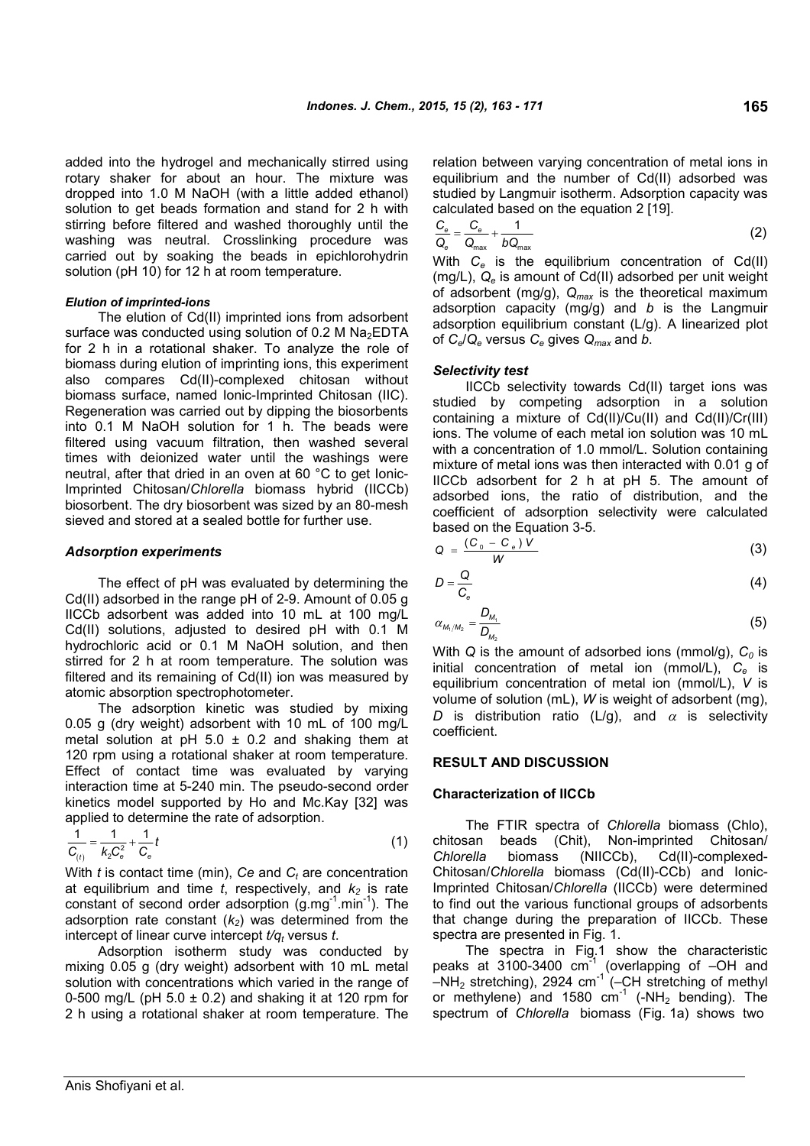added into the hydrogel and mechanically stirred using rotary shaker for about an hour. The mixture was dropped into 1.0 M NaOH (with a little added ethanol) solution to get beads formation and stand for 2 h with stirring before filtered and washed thoroughly until the washing was neutral. Crosslinking procedure was carried out by soaking the beads in epichlorohydrin solution (pH 10) for 12 h at room temperature.

### *Elution of imprinted-ions*

The elution of Cd(II) imprinted ions from adsorbent surface was conducted using solution of 0.2 M Na<sub>2</sub>EDTA for 2 h in a rotational shaker. To analyze the role of biomass during elution of imprinting ions, this experiment also compares Cd(II)-complexed chitosan without biomass surface, named Ionic-Imprinted Chitosan (IIC). Regeneration was carried out by dipping the biosorbents into 0.1 M NaOH solution for 1 h. The beads were filtered using vacuum filtration, then washed several times with deionized water until the washings were neutral, after that dried in an oven at 60 °C to get Ionic-Imprinted Chitosan/*Chlorella* biomass hybrid (IICCb) biosorbent. The dry biosorbent was sized by an 80-mesh sieved and stored at a sealed bottle for further use.

#### *Adsorption experiments*

The effect of pH was evaluated by determining the Cd(II) adsorbed in the range pH of 2-9. Amount of 0.05 g IICCb adsorbent was added into 10 mL at 100 mg/L Cd(II) solutions, adjusted to desired pH with 0.1 M hydrochloric acid or 0.1 M NaOH solution, and then stirred for 2 h at room temperature. The solution was filtered and its remaining of Cd(II) ion was measured by atomic absorption spectrophotometer.

The adsorption kinetic was studied by mixing 0.05 g (dry weight) adsorbent with 10 mL of 100 mg/L metal solution at pH  $5.0 \pm 0.2$  and shaking them at 120 rpm using a rotational shaker at room temperature. Effect of contact time was evaluated by varying interaction time at 5-240 min. The pseudo-second order kinetics model supported by Ho and Mc.Kay [32] was applied to determine the rate of adsorption.

$$
\frac{1}{C_{(t)}} = \frac{1}{k_2 C_e^2} + \frac{1}{C_e} t \tag{1}
$$

With *t* is contact time (min), *Ce* and *C<sup>t</sup>* are concentration at equilibrium and time  $t$ , respectively, and  $k<sub>2</sub>$  is rate constant of second order adsorption  $(q.mq^{-1}.min^{-1})$ . The adsorption rate constant (*k2*) was determined from the intercept of linear curve intercept *t/q<sup>t</sup>* versus *t*.

Adsorption isotherm study was conducted by mixing 0.05 g (dry weight) adsorbent with 10 mL metal solution with concentrations which varied in the range of 0-500 mg/L (pH  $5.0 \pm 0.2$ ) and shaking it at 120 rpm for 2 h using a rotational shaker at room temperature. The relation between varying concentration of metal ions in equilibrium and the number of Cd(II) adsorbed was studied by Langmuir isotherm. Adsorption capacity was calculated based on the equation 2 [19].

$$
\frac{C_e}{Q_e} = \frac{C_e}{Q_{max}} + \frac{1}{bQ_{max}}
$$
 (2)

With *C<sup>e</sup>* is the equilibrium concentration of Cd(II) (mg/L), *Q<sup>e</sup>* is amount of Cd(II) adsorbed per unit weight of adsorbent (mg/g), *Qmax* is the theoretical maximum adsorption capacity (mg/g) and *b* is the Langmuir adsorption equilibrium constant (L/g). A linearized plot of *Ce*/*Q<sup>e</sup>* versus *C<sup>e</sup>* gives *Qmax* and *b*.

#### *Selectivity test*

IICCb selectivity towards Cd(II) target ions was studied by competing adsorption in a solution containing a mixture of Cd(II)/Cu(II) and Cd(II)/Cr(III) ions. The volume of each metal ion solution was 10 mL with a concentration of 1.0 mmol/L. Solution containing mixture of metal ions was then interacted with 0.01 g of IICCb adsorbent for 2 h at pH 5. The amount of adsorbed ions, the ratio of distribution, and the coefficient of adsorption selectivity were calculated based on the Equation 3-5.

$$
Q = \frac{(C_0 - C_e)V}{W}
$$
 (3)

$$
D = \frac{Q}{C_e} \tag{4}
$$

$$
\alpha_{M_1/M_2} = \frac{D_{M_1}}{D_{M_2}}
$$
 (5)

With *Q* is the amount of adsorbed ions (mmol/g), *C<sup>0</sup>* is initial concentration of metal ion (mmol/L), *C<sup>e</sup>* is equilibrium concentration of metal ion (mmol/L), *V* is volume of solution (mL), *W* is weight of adsorbent (mg), *D* is distribution ratio (L/g), and  $\alpha$  is selectivity coefficient.

#### **RESULT AND DISCUSSION**

### **Characterization of IICCb**

The FTIR spectra of *Chlorella* biomass (Chlo), chitosan beads (Chit), Non-imprinted Chitosan/ *Chlorella* biomass (NIICCb), Cd(II)-complexed-Chitosan/*Chlorella* biomass (Cd(II)-CCb) and Ionic-Imprinted Chitosan/*Chlorella* (IICCb) were determined to find out the various functional groups of adsorbents that change during the preparation of IICCb. These spectra are presented in Fig. 1.

The spectra in Fig.1 show the characteristic peaks at 3100-3400  $cm^{-1}$  (overlapping of  $-OH$  and  $-MH<sub>2</sub>$  stretching), 2924 cm<sup>-1</sup> (–CH stretching of methyl or methylene) and 1580  $cm^{-1}$  (-NH<sub>2</sub> bending). The spectrum of *Chlorella* biomass (Fig. 1a) shows two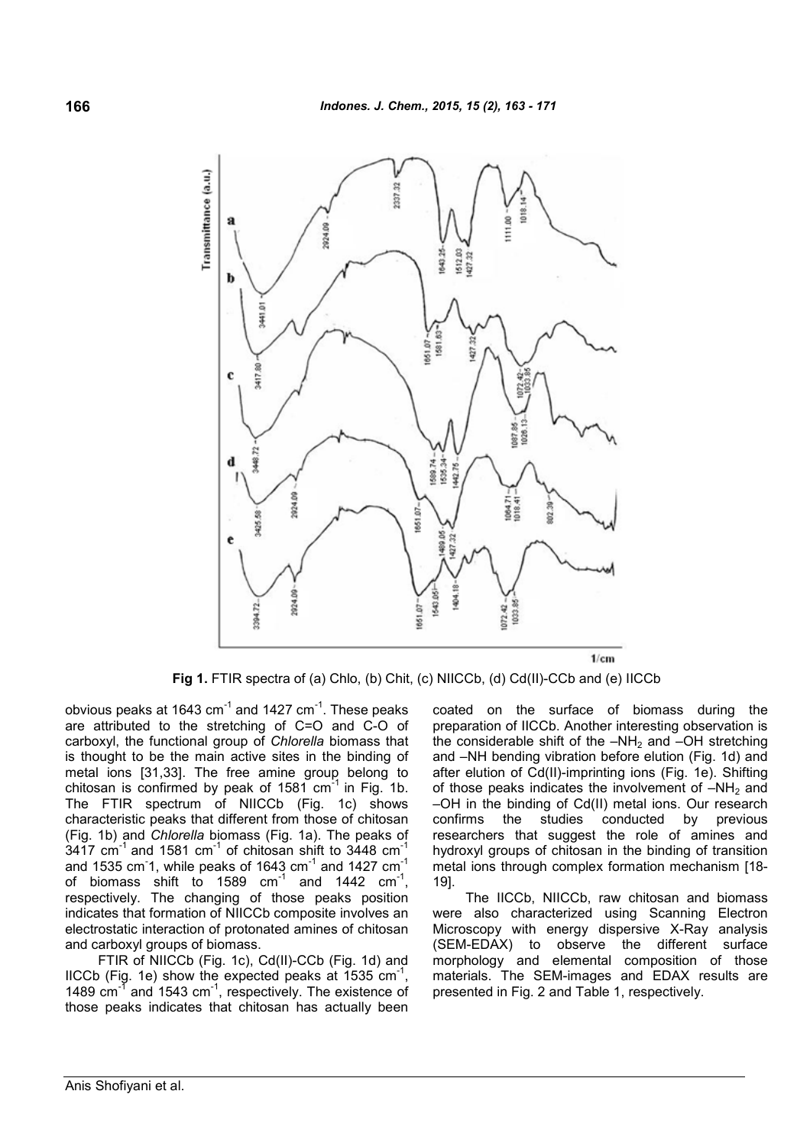

**Fig 1.** FTIR spectra of (a) Chlo, (b) Chit, (c) NIICCb, (d) Cd(II)-CCb and (e) IICCb

obvious peaks at 1643  $cm^{-1}$  and 1427  $cm^{-1}$ . These peaks are attributed to the stretching of C=O and C-O of carboxyl, the functional group of *Chlorella* biomass that is thought to be the main active sites in the binding of metal ions [31,33]. The free amine group belong to chitosan is confirmed by peak of  $1581$  cm $^{-1}$  in Fig. 1b. The FTIR spectrum of NIICCb (Fig. 1c) shows characteristic peaks that different from those of chitosan (Fig. 1b) and *Chlorella* biomass (Fig. 1a). The peaks of 3417 cm<sup>-1</sup> and 1581 cm<sup>-1</sup> of chitosan shift to 3448 cm<sup>-1</sup> and 1535 cm<sup>-1</sup>, while peaks of 1643 cm<sup>-1</sup> and 1427 cm<sup>-1</sup> of biomass shift to  $1589$  cm<sup>-1</sup> and  $1442$  cm<sup>-1</sup>, respectively. The changing of those peaks position indicates that formation of NIICCb composite involves an electrostatic interaction of protonated amines of chitosan and carboxyl groups of biomass.

FTIR of NIICCb (Fig. 1c), Cd(II)-CCb (Fig. 1d) and IICCb (Fig. 1e) show the expected peaks at  $1535 \text{ cm}^{-1}$ , 1489  $\text{cm}^{-1}$  and 1543  $\text{cm}^{-1}$ , respectively. The existence of those peaks indicates that chitosan has actually been

coated on the surface of biomass during the preparation of IICCb. Another interesting observation is the considerable shift of the  $-NH<sub>2</sub>$  and  $-OH$  stretching and –NH bending vibration before elution (Fig. 1d) and after elution of Cd(II)-imprinting ions (Fig. 1e). Shifting of those peaks indicates the involvement of  $-NH<sub>2</sub>$  and –OH in the binding of Cd(II) metal ions. Our research confirms the studies conducted by previous researchers that suggest the role of amines and hydroxyl groups of chitosan in the binding of transition metal ions through complex formation mechanism [18- 19].

The IICCb, NIICCb, raw chitosan and biomass were also characterized using Scanning Electron Microscopy with energy dispersive X-Ray analysis (SEM-EDAX) to observe the different surface morphology and elemental composition of those materials. The SEM-images and EDAX results are presented in Fig. 2 and Table 1, respectively.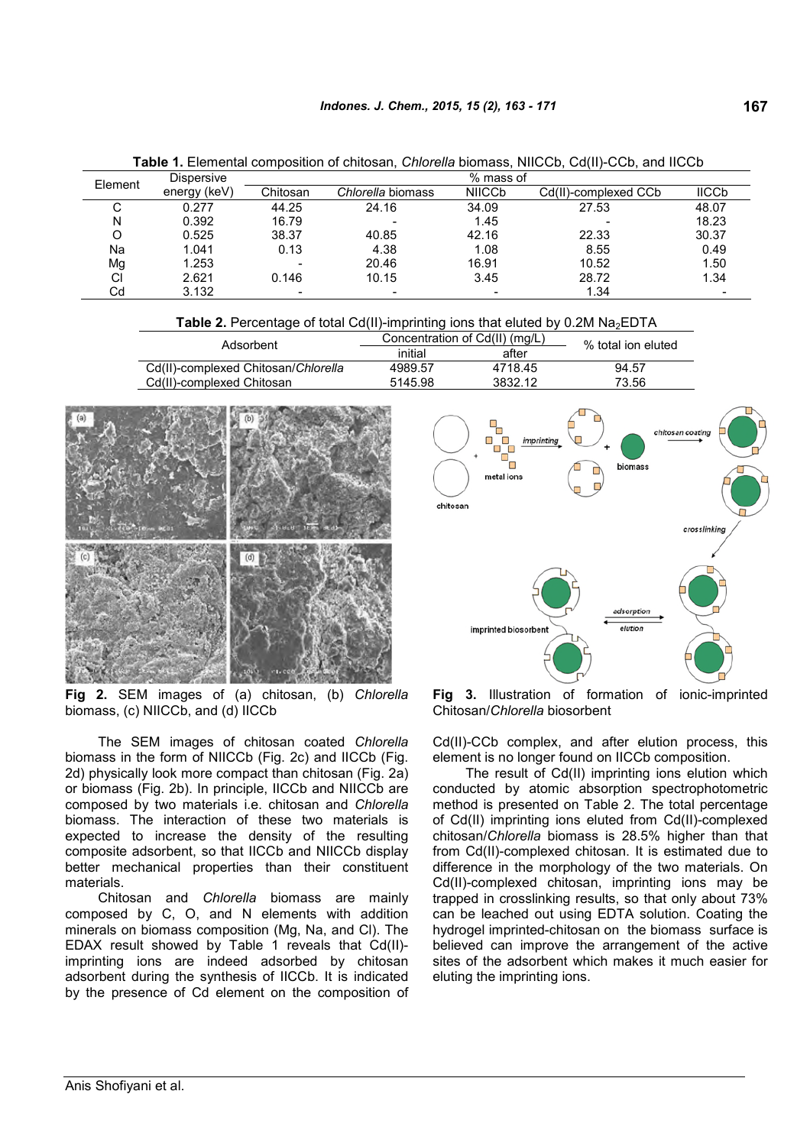| -----<br>--------- |              |                          |                   |                          |                      |                         |  |
|--------------------|--------------|--------------------------|-------------------|--------------------------|----------------------|-------------------------|--|
| Element            | Dispersive   |                          |                   | % mass of                |                      |                         |  |
|                    | energy (keV) | Chitosan                 | Chlorella biomass | <b>NIICCb</b>            | Cd(II)-complexed CCb | <b>IICC<sub>p</sub></b> |  |
| U                  | 0.277        | 44.25                    | 24.16             | 34.09                    | 27.53                | 48.07                   |  |
| N                  | 0.392        | 16.79                    |                   | 1.45                     |                      | 18.23                   |  |
|                    | 0.525        | 38.37                    | 40.85             | 42.16                    | 22.33                | 30.37                   |  |
| Na                 | 1.041        | 0.13                     | 4.38              | 1.08                     | 8.55                 | 0.49                    |  |
| Mg                 | 1.253        | $\overline{\phantom{0}}$ | 20.46             | 16.91                    | 10.52                | 1.50                    |  |
| CI                 | 2.621        | 0.146                    | 10.15             | 3.45                     | 28.72                | 1.34                    |  |
| Cd                 | 3.132        | $\overline{\phantom{a}}$ |                   | $\overline{\phantom{a}}$ | 1.34                 |                         |  |

**Table 1.** Elemental composition of chitosan, *Chlorella* biomass, NIICCb, Cd(II)-CCb, and IICCb

| <b>Table 2.</b> Percentage of total Cd(II)-imprinting ions that eluted by $0.2M$ Na <sub>2</sub> EDTA |  |
|-------------------------------------------------------------------------------------------------------|--|
|-------------------------------------------------------------------------------------------------------|--|

| Adsorbent                           | Concentration of Cd(II) (mg/L) | % total ion eluted |       |
|-------------------------------------|--------------------------------|--------------------|-------|
|                                     | initial<br>after               |                    |       |
| Cd(II)-complexed Chitosan/Chlorella | 4989.57                        | 4718.45            | 94.57 |
| Cd(II)-complexed Chitosan           | 5145.98                        | 3832.12            | 73.56 |



**Fig 2.** SEM images of (a) chitosan, (b) *Chlorella* biomass, (c) NIICCb, and (d) IICCb

The SEM images of chitosan coated *Chlorella* biomass in the form of NIICCb (Fig. 2c) and IICCb (Fig. 2d) physically look more compact than chitosan (Fig. 2a) or biomass (Fig. 2b). In principle, IICCb and NIICCb are composed by two materials i.e. chitosan and *Chlorella* biomass. The interaction of these two materials is expected to increase the density of the resulting composite adsorbent, so that IICCb and NIICCb display better mechanical properties than their constituent materials.

Chitosan and *Chlorella* biomass are mainly composed by C, O, and N elements with addition minerals on biomass composition (Mg, Na, and Cl). The EDAX result showed by Table 1 reveals that Cd(II) imprinting ions are indeed adsorbed by chitosan adsorbent during the synthesis of IICCb. It is indicated by the presence of Cd element on the composition of



**Fig 3.** Illustration of formation of ionic-imprinted Chitosan/*Chlorella* biosorbent

Cd(II)-CCb complex, and after elution process, this element is no longer found on IICCb composition.

The result of Cd(II) imprinting ions elution which conducted by atomic absorption spectrophotometric method is presented on Table 2. The total percentage of Cd(II) imprinting ions eluted from Cd(II)-complexed chitosan/*Chlorella* biomass is 28.5% higher than that from Cd(II)-complexed chitosan. It is estimated due to difference in the morphology of the two materials. On Cd(II)-complexed chitosan, imprinting ions may be trapped in crosslinking results, so that only about 73% can be leached out using EDTA solution. Coating the hydrogel imprinted-chitosan on the biomass surface is believed can improve the arrangement of the active sites of the adsorbent which makes it much easier for eluting the imprinting ions.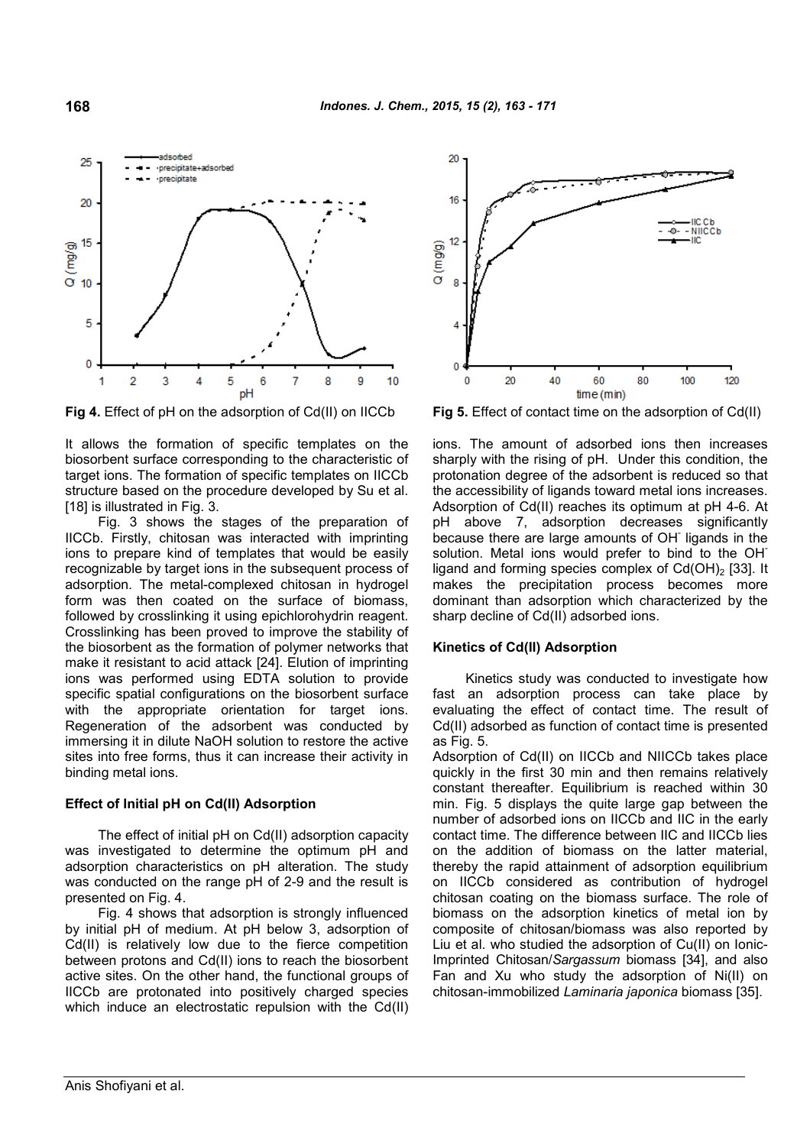

It allows the formation of specific templates on the biosorbent surface corresponding to the characteristic of target ions. The formation of specific templates on IICCb structure based on the procedure developed by Su et al. [18] is illustrated in Fig. 3.

Fig. 3 shows the stages of the preparation of IICCb. Firstly, chitosan was interacted with imprinting ions to prepare kind of templates that would be easily recognizable by target ions in the subsequent process of adsorption. The metal-complexed chitosan in hydrogel form was then coated on the surface of biomass, followed by crosslinking it using epichlorohydrin reagent. Crosslinking has been proved to improve the stability of the biosorbent as the formation of polymer networks that make it resistant to acid attack [24]. Elution of imprinting ions was performed using EDTA solution to provide specific spatial configurations on the biosorbent surface with the appropriate orientation for target ions. Regeneration of the adsorbent was conducted by immersing it in dilute NaOH solution to restore the active sites into free forms, thus it can increase their activity in binding metal ions.

### **Effect of Initial pH on Cd(II) Adsorption**

The effect of initial pH on Cd(II) adsorption capacity was investigated to determine the optimum pH and adsorption characteristics on pH alteration. The study was conducted on the range pH of 2-9 and the result is presented on Fig. 4.

Fig. 4 shows that adsorption is strongly influenced by initial pH of medium. At pH below 3, adsorption of Cd(II) is relatively low due to the fierce competition between protons and Cd(II) ions to reach the biosorbent active sites. On the other hand, the functional groups of IICCb are protonated into positively charged species which induce an electrostatic repulsion with the Cd(II)



**Fig 4.** Effect of pH on the adsorption of Cd(II) on IICCb **Fig 5.** Effect of contact time on the adsorption of Cd(II)

ions. The amount of adsorbed ions then increases sharply with the rising of pH. Under this condition, the protonation degree of the adsorbent is reduced so that the accessibility of ligands toward metal ions increases. Adsorption of Cd(II) reaches its optimum at pH 4-6. At pH above 7, adsorption decreases significantly because there are large amounts of OH-ligands in the solution. Metal ions would prefer to bind to the OH<sup>-</sup> ligand and forming species complex of  $Cd(OH)_{2}$  [33]. It makes the precipitation process becomes more dominant than adsorption which characterized by the sharp decline of Cd(II) adsorbed ions.

### **Kinetics of Cd(II) Adsorption**

Kinetics study was conducted to investigate how fast an adsorption process can take place by evaluating the effect of contact time. The result of Cd(II) adsorbed as function of contact time is presented as Fig. 5.

Adsorption of Cd(II) on IICCb and NIICCb takes place quickly in the first 30 min and then remains relatively constant thereafter. Equilibrium is reached within 30 min. Fig. 5 displays the quite large gap between the number of adsorbed ions on IICCb and IIC in the early contact time. The difference between IIC and IICCb lies on the addition of biomass on the latter material, thereby the rapid attainment of adsorption equilibrium on IICCb considered as contribution of hydrogel chitosan coating on the biomass surface. The role of biomass on the adsorption kinetics of metal ion by composite of chitosan/biomass was also reported by Liu et al. who studied the adsorption of Cu(II) on Ionic-Imprinted Chitosan/*Sargassum* biomass [34], and also Fan and Xu who study the adsorption of Ni(II) on chitosan-immobilized *Laminaria japonica* biomass [35].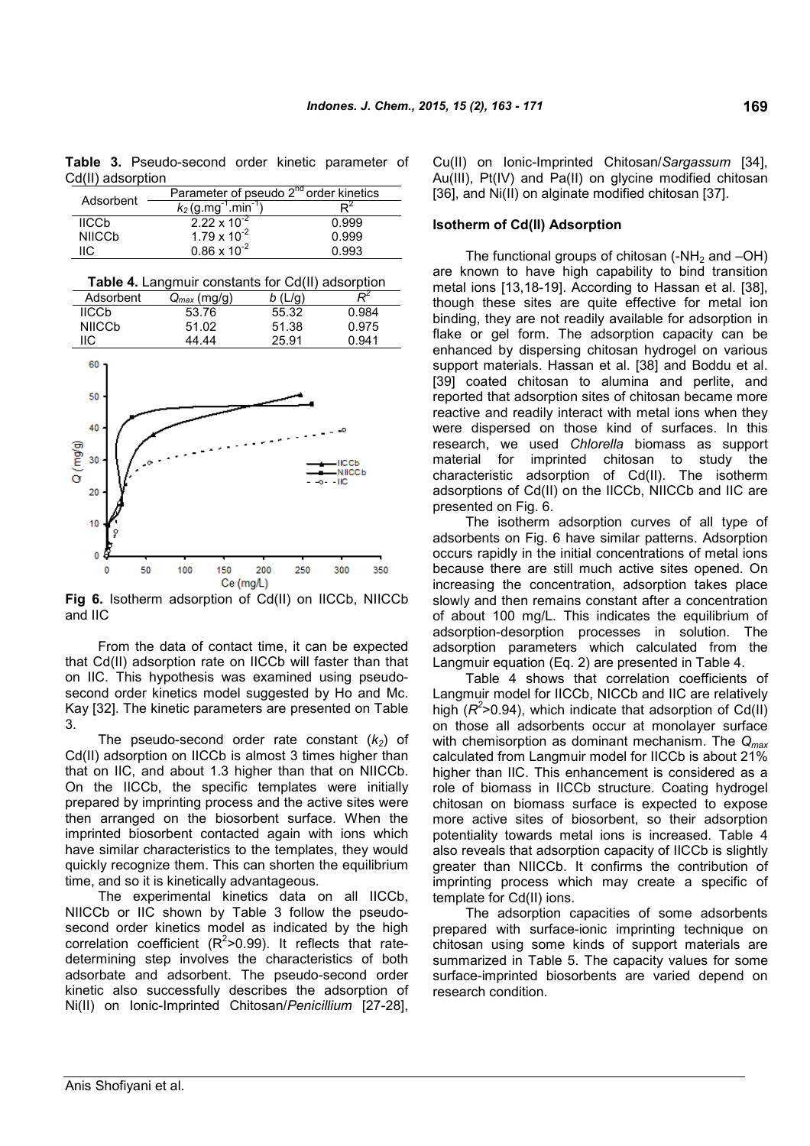**Table 3.** Pseudo-second order kinetic parameter of Cd(II) adsorption

| Adsorbent                | Parameter of pseudo 2 <sup>nd</sup> order kinetics |       |
|--------------------------|----------------------------------------------------|-------|
|                          | $k_2$ (g.mg <sup>-1</sup> .min <sup>-1</sup> )     |       |
| <b>IICCb</b>             | $2.22 \times 10^{-2}$                              | 0.999 |
| <b>NIICC<sub>b</sub></b> | $1.79 \times 10^{-2}$                              | 0.999 |
| IC                       | $0.86 \times 10^{-2}$                              | በ 993 |

**Table 4.** Langmuir constants for Cd(II) adsorption

| Adsorbent                                                  | $Q_{max}$ (mg/g)        | b(L/g)     | $\overline{\mathcal{R}}^2$                 |
|------------------------------------------------------------|-------------------------|------------|--------------------------------------------|
| <b>IICCb</b>                                               | 53.76                   | 55.32      | 0.984                                      |
| <b>NIICCb</b>                                              | 51.02                   | 51.38      | 0.975                                      |
| IIС                                                        | 44.44                   | 25.91      | 0.941                                      |
| 60<br>50<br>40<br>Q (mgg)<br>30<br>20<br>10<br>ę<br>0<br>₽ |                         |            | o<br>$-$ IICCb<br>$-NICCD$<br>$-0 - -$ IIC |
| 0<br>50                                                    | 100<br>150<br>Ce (ma/L) | 200<br>250 | 350<br>300                                 |

**Fig 6.** Isotherm adsorption of Cd(II) on IICCb, NIICCb and IIC

From the data of contact time, it can be expected that Cd(II) adsorption rate on IICCb will faster than that on IIC. This hypothesis was examined using pseudosecond order kinetics model suggested by Ho and Mc. Kay [32]. The kinetic parameters are presented on Table 3.

The pseudo-second order rate constant  $(k_2)$  of Cd(II) adsorption on IICCb is almost 3 times higher than that on IIC, and about 1.3 higher than that on NIICCb. On the IICCb, the specific templates were initially prepared by imprinting process and the active sites were then arranged on the biosorbent surface. When the imprinted biosorbent contacted again with ions which have similar characteristics to the templates, they would quickly recognize them. This can shorten the equilibrium time, and so it is kinetically advantageous.

The experimental kinetics data on all IICCb, NIICCb or IIC shown by Table 3 follow the pseudosecond order kinetics model as indicated by the high correlation coefficient  $(R^2>0.99)$ . It reflects that ratedetermining step involves the characteristics of both adsorbate and adsorbent. The pseudo-second order kinetic also successfully describes the adsorption of Ni(II) on Ionic-Imprinted Chitosan/*Penicillium* [27-28],

Cu(II) on Ionic-Imprinted Chitosan/*Sargassum* [34], Au(III), Pt(IV) and Pa(II) on glycine modified chitosan [36], and Ni(II) on alginate modified chitosan [37].

### **Isotherm of Cd(II) Adsorption**

The functional groups of chitosan  $(-NH<sub>2</sub>$  and  $-OH)$ are known to have high capability to bind transition metal ions [13,18-19]. According to Hassan et al. [38], though these sites are quite effective for metal ion binding, they are not readily available for adsorption in flake or gel form. The adsorption capacity can be enhanced by dispersing chitosan hydrogel on various support materials. Hassan et al. [38] and Boddu et al. [39] coated chitosan to alumina and perlite, and reported that adsorption sites of chitosan became more reactive and readily interact with metal ions when they were dispersed on those kind of surfaces. In this research, we used *Chlorella* biomass as support material for imprinted chitosan to study the characteristic adsorption of Cd(II). The isotherm adsorptions of Cd(II) on the IICCb, NIICCb and IIC are presented on Fig. 6.

The isotherm adsorption curves of all type of adsorbents on Fig. 6 have similar patterns. Adsorption occurs rapidly in the initial concentrations of metal ions because there are still much active sites opened. On increasing the concentration, adsorption takes place slowly and then remains constant after a concentration of about 100 mg/L. This indicates the equilibrium of adsorption-desorption processes in solution. The adsorption parameters which calculated from the Langmuir equation (Eq. 2) are presented in Table 4.

Table 4 shows that correlation coefficients of Langmuir model for IICCb, NICCb and IIC are relatively high  $(R^2>0.94)$ , which indicate that adsorption of Cd(II) on those all adsorbents occur at monolayer surface with chemisorption as dominant mechanism. The *Qmax* calculated from Langmuir model for IICCb is about 21% higher than IIC. This enhancement is considered as a role of biomass in IICCb structure. Coating hydrogel chitosan on biomass surface is expected to expose more active sites of biosorbent, so their adsorption potentiality towards metal ions is increased. Table 4 also reveals that adsorption capacity of IICCb is slightly greater than NIICCb. It confirms the contribution of imprinting process which may create a specific of template for Cd(II) ions.

The adsorption capacities of some adsorbents prepared with surface-ionic imprinting technique on chitosan using some kinds of support materials are summarized in Table 5. The capacity values for some surface-imprinted biosorbents are varied depend on research condition.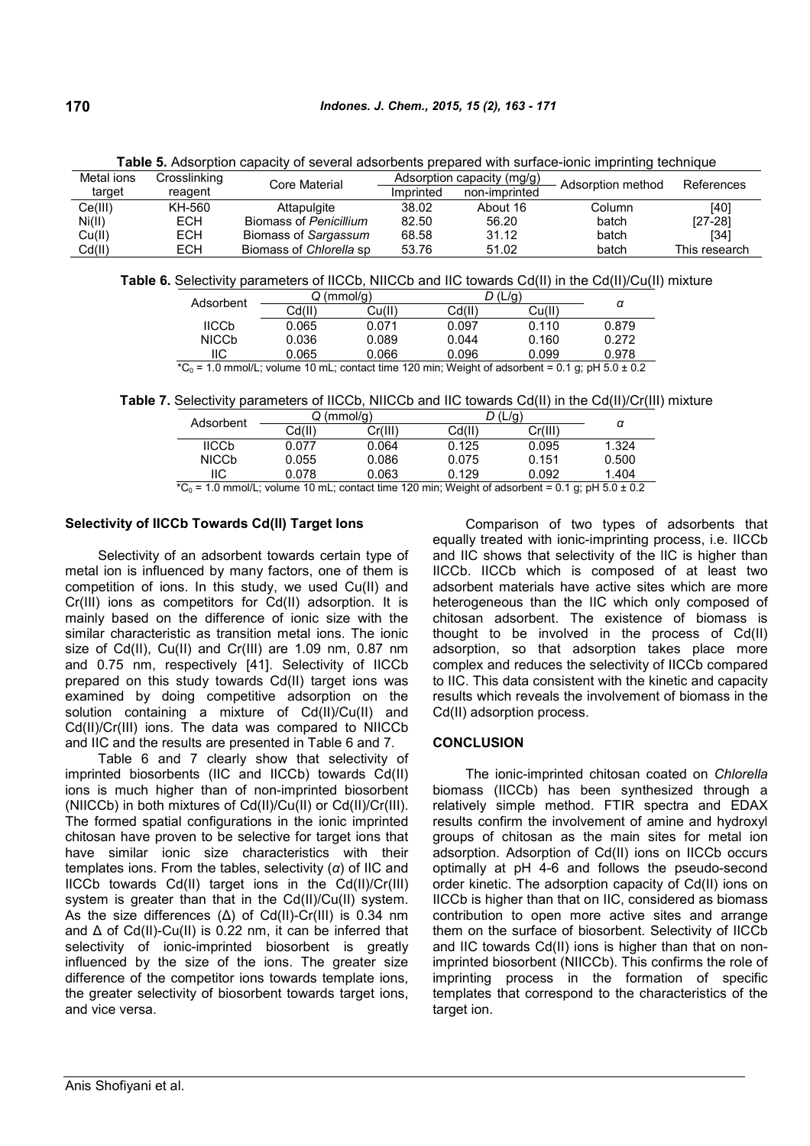| Metal ions | Crosslinking | Core Material           | Adsorption capacity (mg/g) |               | Adsorption method | References    |
|------------|--------------|-------------------------|----------------------------|---------------|-------------------|---------------|
| target     | reagent      |                         | Imprinted                  | non-imprinted |                   |               |
| Ce(III)    | KH-560       | Attapulgite             | 38.02                      | About 16      | Column            | [40]          |
| Ni(II)     | <b>ECH</b>   | Biomass of Penicillium  | 82.50                      | 56.20         | batch             | $[27-28]$     |
| Cu(II)     | <b>ECH</b>   | Biomass of Sargassum    | 68.58                      | 31.12         | batch             | [34]          |
| Cd(II)     | <b>ECH</b>   | Biomass of Chlorella sp | 53.76                      | 51.02         | batch             | This research |

**Table 5.** Adsorption capacity of several adsorbents prepared with surface-ionic imprinting technique

**Table 6.** Selectivity parameters of IICCb, NIICCb and IIC towards Cd(II) in the Cd(II)/Cu(II) mixture

| Adsorbent    | Q (mmol/a) |        |        |        |       |
|--------------|------------|--------|--------|--------|-------|
|              | Cd(II)     | Cu(II) | Cd(II) | Cu(II) | α     |
| <b>IICCb</b> | 0.065      | 0.071  | 0.097  | 0.110  | 0.879 |
| <b>NICCb</b> | 0.036      | 0.089  | 0.044  | 0.160  | 0.272 |
| IIС          | 0.065      | 0.066  | 0.096  | 0.099  | 0.978 |

\*C<sub>0</sub> = 1.0 mmol/L; volume 10 mL; contact time 120 min; Weight of adsorbent = 0.1 g; pH 5.0  $\pm$  0.2

**Table 7.** Selectivity parameters of IICCb, NIICCb and IIC towards Cd(II) in the Cd(II)/Cr(III) mixture

| Adsorbent    | (mmol/q)<br>ن |         |        |         |       |
|--------------|---------------|---------|--------|---------|-------|
|              | Cd(II)        | Cr(III) | Cd(II) | Cr(III) | α     |
| <b>IICCb</b> | 0.077         | 0.064   | 0.125  | 0.095   | 1.324 |
| <b>NICCb</b> | 0.055         | 0.086   | 0.075  | 0.151   | 0.500 |
| IIС          | 0.078         | 0.063   | 0.129  | 0.092   | 1.404 |

 $*C_0 = 1.0$  mmol/L; volume 10 mL; contact time 120 min; Weight of adsorbent = 0.1 g; pH 5.0  $\pm$  0.2

# **Selectivity of IICCb Towards Cd(II) Target Ions**

Selectivity of an adsorbent towards certain type of metal ion is influenced by many factors, one of them is competition of ions. In this study, we used Cu(II) and Cr(III) ions as competitors for Cd(II) adsorption. It is mainly based on the difference of ionic size with the similar characteristic as transition metal ions. The ionic size of Cd(II), Cu(II) and Cr(III) are 1.09 nm, 0.87 nm and 0.75 nm, respectively [41]. Selectivity of IICCb prepared on this study towards Cd(II) target ions was examined by doing competitive adsorption on the solution containing a mixture of Cd(II)/Cu(II) and Cd(II)/Cr(III) ions. The data was compared to NIICCb and IIC and the results are presented in Table 6 and 7.

Table 6 and 7 clearly show that selectivity of imprinted biosorbents (IIC and IICCb) towards Cd(II) ions is much higher than of non-imprinted biosorbent (NIICCb) in both mixtures of Cd(II)/Cu(II) or Cd(II)/Cr(III). The formed spatial configurations in the ionic imprinted chitosan have proven to be selective for target ions that have similar ionic size characteristics with their templates ions. From the tables, selectivity (*α*) of IIC and IICCb towards Cd(II) target ions in the Cd(II)/Cr(III) system is greater than that in the Cd(II)/Cu(II) system. As the size differences (Δ) of Cd(II)-Cr(III) is 0.34 nm and Δ of Cd(II)-Cu(II) is 0.22 nm, it can be inferred that selectivity of ionic-imprinted biosorbent is greatly influenced by the size of the ions. The greater size difference of the competitor ions towards template ions, the greater selectivity of biosorbent towards target ions, and vice versa.

Comparison of two types of adsorbents that equally treated with ionic-imprinting process, i.e. IICCb and IIC shows that selectivity of the lIC is higher than IICCb. IICCb which is composed of at least two adsorbent materials have active sites which are more heterogeneous than the IIC which only composed of chitosan adsorbent. The existence of biomass is thought to be involved in the process of Cd(II) adsorption, so that adsorption takes place more complex and reduces the selectivity of IICCb compared to IIC. This data consistent with the kinetic and capacity results which reveals the involvement of biomass in the Cd(II) adsorption process.

# **CONCLUSION**

The ionic-imprinted chitosan coated on *Chlorella* biomass (IICCb) has been synthesized through a relatively simple method. FTIR spectra and EDAX results confirm the involvement of amine and hydroxyl groups of chitosan as the main sites for metal ion adsorption. Adsorption of Cd(II) ions on IICCb occurs optimally at pH 4-6 and follows the pseudo-second order kinetic. The adsorption capacity of Cd(II) ions on IICCb is higher than that on IIC, considered as biomass contribution to open more active sites and arrange them on the surface of biosorbent. Selectivity of IICCb and IIC towards Cd(II) ions is higher than that on nonimprinted biosorbent (NIICCb). This confirms the role of imprinting process in the formation of specific templates that correspond to the characteristics of the target ion.